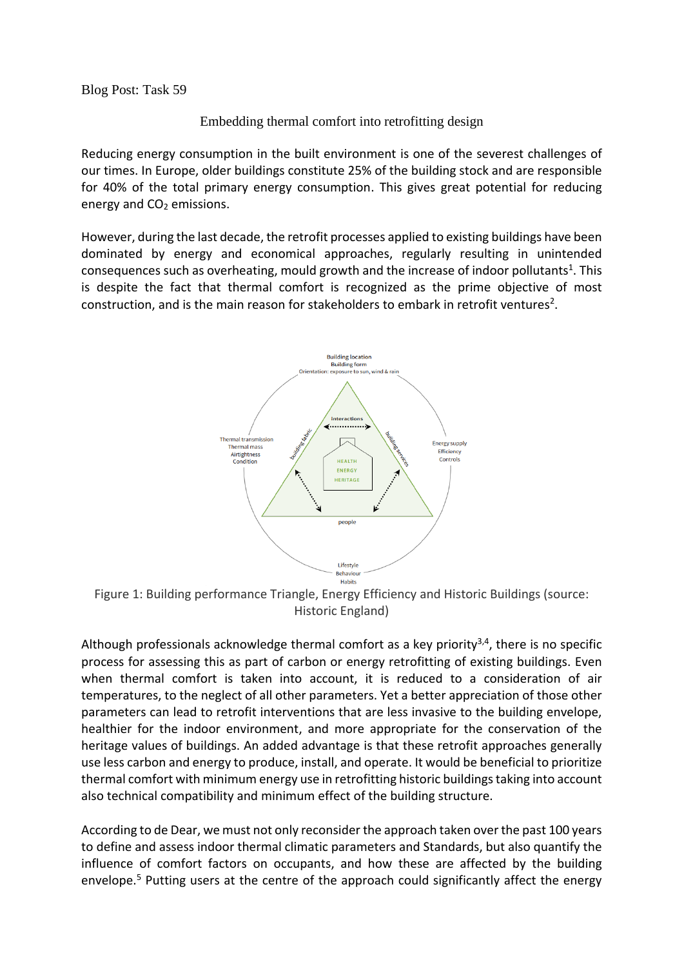Blog Post: Task 59

Embedding thermal comfort into retrofitting design

Reducing energy consumption in the built environment is one of the severest challenges of our times. In Europe, older buildings constitute 25% of the building stock and are responsible for 40% of the total primary energy consumption. This gives great potential for reducing energy and CO<sub>2</sub> emissions.

However, during the last decade, the retrofit processes applied to existing buildings have been dominated by energy and economical approaches, regularly resulting in unintended consequences such as overheating, mould growth and the increase of indoor pollutants<sup>1</sup>. This is despite the fact that thermal comfort is recognized as the prime objective of most construction, and is the main reason for stakeholders to embark in retrofit ventures<sup>2</sup>.



Figure 1: Building performance Triangle, Energy Efficiency and Historic Buildings (source: Historic England)

Although professionals acknowledge thermal comfort as a key priority<sup>3,4</sup>, there is no specific process for assessing this as part of carbon or energy retrofitting of existing buildings. Even when thermal comfort is taken into account, it is reduced to a consideration of air temperatures, to the neglect of all other parameters. Yet a better appreciation of those other parameters can lead to retrofit interventions that are less invasive to the building envelope, healthier for the indoor environment, and more appropriate for the conservation of the heritage values of buildings. An added advantage is that these retrofit approaches generally use less carbon and energy to produce, install, and operate. It would be beneficial to prioritize thermal comfort with minimum energy use in retrofitting historic buildings taking into account also technical compatibility and minimum effect of the building structure.

According to de Dear, we must not only reconsider the approach taken over the past 100 years to define and assess indoor thermal climatic parameters and Standards, but also quantify the influence of comfort factors on occupants, and how these are affected by the building envelope.<sup>5</sup> Putting users at the centre of the approach could significantly affect the energy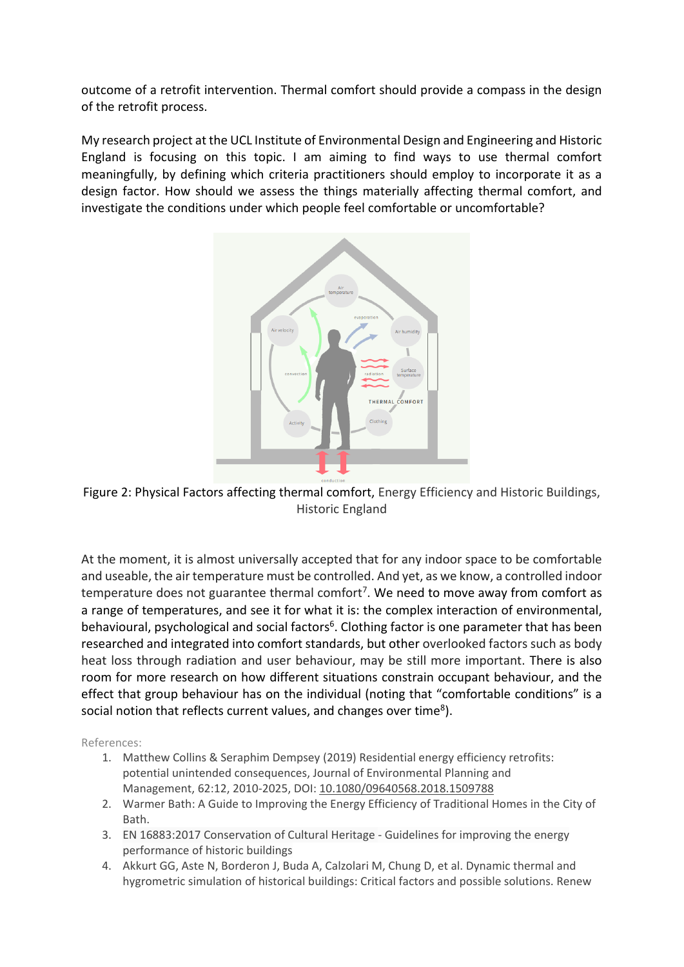outcome of a retrofit intervention. Thermal comfort should provide a compass in the design of the retrofit process.

My research project at the UCL Institute of Environmental Design and Engineering and Historic England is focusing on this topic. I am aiming to find ways to use thermal comfort meaningfully, by defining which criteria practitioners should employ to incorporate it as a design factor. How should we assess the things materially affecting thermal comfort, and investigate the conditions under which people feel comfortable or uncomfortable?



Figure 2: Physical Factors affecting thermal comfort, Energy Efficiency and Historic Buildings, Historic England

At the moment, it is almost universally accepted that for any indoor space to be comfortable and useable, the air temperature must be controlled. And yet, as we know, a controlled indoor temperature does not guarantee thermal comfort<sup>7</sup>. We need to move away from comfort as a range of temperatures, and see it for what it is: the complex interaction of environmental, behavioural, psychological and social factors<sup>6</sup>. Clothing factor is one parameter that has been researched and integrated into comfort standards, but other overlooked factors such as body heat loss through radiation and user behaviour, may be still more important. There is also room for more research on how different situations constrain occupant behaviour, and the effect that group behaviour has on the individual (noting that "comfortable conditions" is a social notion that reflects current values, and changes over time<sup>8</sup>).

References:

- 1. Matthew Collins & Seraphim Dempsey (2019) Residential energy efficiency retrofits: potential unintended consequences, Journal of Environmental Planning and Management, 62:12, 2010-2025, DOI: [10.1080/09640568.2018.1509788](https://doi.org/10.1080/09640568.2018.1509788)
- 2. Warmer Bath: A Guide to Improving the Energy Efficiency of Traditional Homes in the City of Bath.
- 3. EN 16883:2017 Conservation of Cultural Heritage Guidelines for improving the energy performance of historic buildings
- 4. Akkurt GG, Aste N, Borderon J, Buda A, Calzolari M, Chung D, et al. Dynamic thermal and hygrometric simulation of historical buildings: Critical factors and possible solutions. Renew